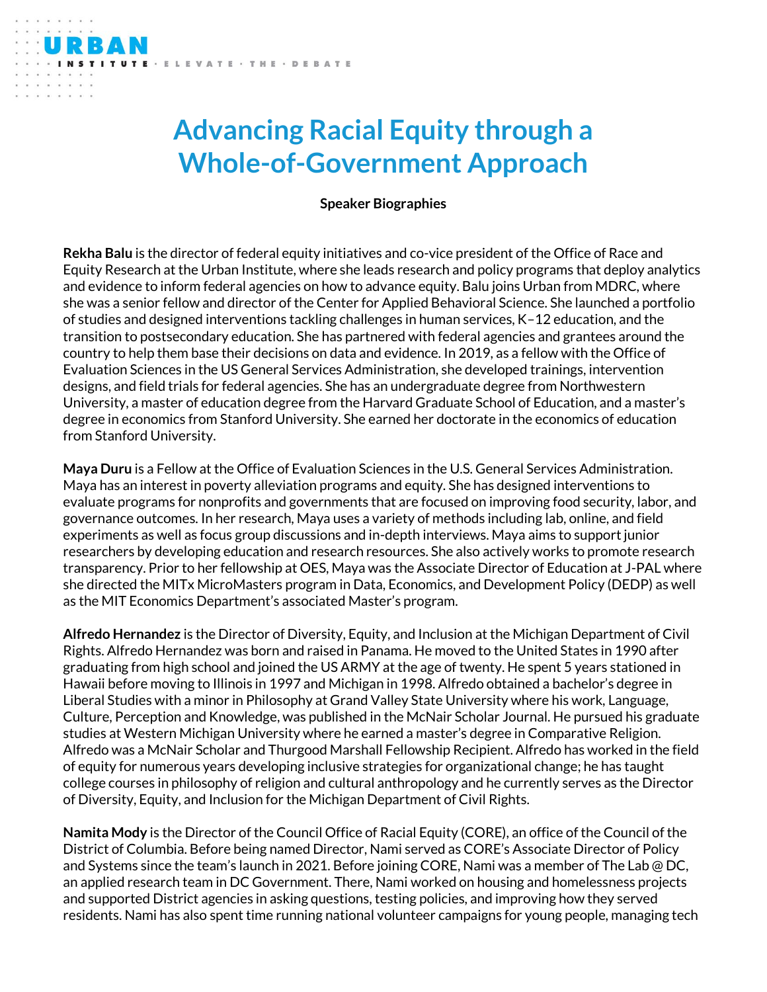VATE · THE · DEBATE

**Speaker Biographies**

**Rekha Balu** is the director of federal equity initiatives and co-vice president of the Office of Race and Equity Research at the Urban Institute, where she leads research and policy programs that deploy analytics and evidence to inform federal agencies on how to advance equity. Balu joins Urban from MDRC, where she was a senior fellow and director of the Center for Applied Behavioral Science. She launched a portfolio of studies and designed interventions tackling challenges in human services, K–12 education, and the transition to postsecondary education. She has partnered with federal agencies and grantees around the country to help them base their decisions on data and evidence. In 2019, as a fellow with the Office of Evaluation Sciences in the US General Services Administration, she developed trainings, intervention designs, and field trials for federal agencies. She has an undergraduate degree from Northwestern University, a master of education degree from the Harvard Graduate School of Education, and a master's degree in economics from Stanford University. She earned her doctorate in the economics of education from Stanford University.

**Maya Duru** is a Fellow at the Office of Evaluation Sciences in the U.S. General Services Administration. Maya has an interest in poverty alleviation programs and equity. She has designed interventions to evaluate programs for nonprofits and governments that are focused on improving food security, labor, and governance outcomes. In her research, Maya uses a variety of methods including lab, online, and field experiments as well as focus group discussions and in-depth interviews. Maya aims to support junior researchers by developing education and research resources. She also actively works to promote research transparency. Prior to her fellowship at OES, Maya was the Associate Director of Education at J-PAL where she directed the MITx MicroMasters program in Data, Economics, and Development Policy (DEDP) as well as the MIT Economics Department's associated Master's program.

**Alfredo Hernandez** is the Director of Diversity, Equity, and Inclusion at the Michigan Department of Civil Rights. Alfredo Hernandez was born and raised in Panama. He moved to the United States in 1990 after graduating from high school and joined the US ARMY at the age of twenty. He spent 5 years stationed in Hawaii before moving to Illinois in 1997 and Michigan in 1998. Alfredo obtained a bachelor's degree in Liberal Studies with a minor in Philosophy at Grand Valley State University where his work, Language, Culture, Perception and Knowledge, was published in the McNair Scholar Journal. He pursued his graduate studies at Western Michigan University where he earned a master's degree in Comparative Religion. Alfredo was a McNair Scholar and Thurgood Marshall Fellowship Recipient. Alfredo has worked in the field of equity for numerous years developing inclusive strategies for organizational change; he has taught college courses in philosophy of religion and cultural anthropology and he currently serves as the Director of Diversity, Equity, and Inclusion for the Michigan Department of Civil Rights.

**Namita Mody** is the Director of the Council Office of Racial Equity (CORE), an office of the Council of the District of Columbia. Before being named Director, Nami served as CORE's Associate Director of Policy and Systems since the team's launch in 2021. Before joining CORE, Nami was a member of The Lab @ DC, an applied research team in DC Government. There, Nami worked on housing and homelessness projects and supported District agencies in asking questions, testing policies, and improving how they served residents. Nami has also spent time running national volunteer campaigns for young people, managing tech